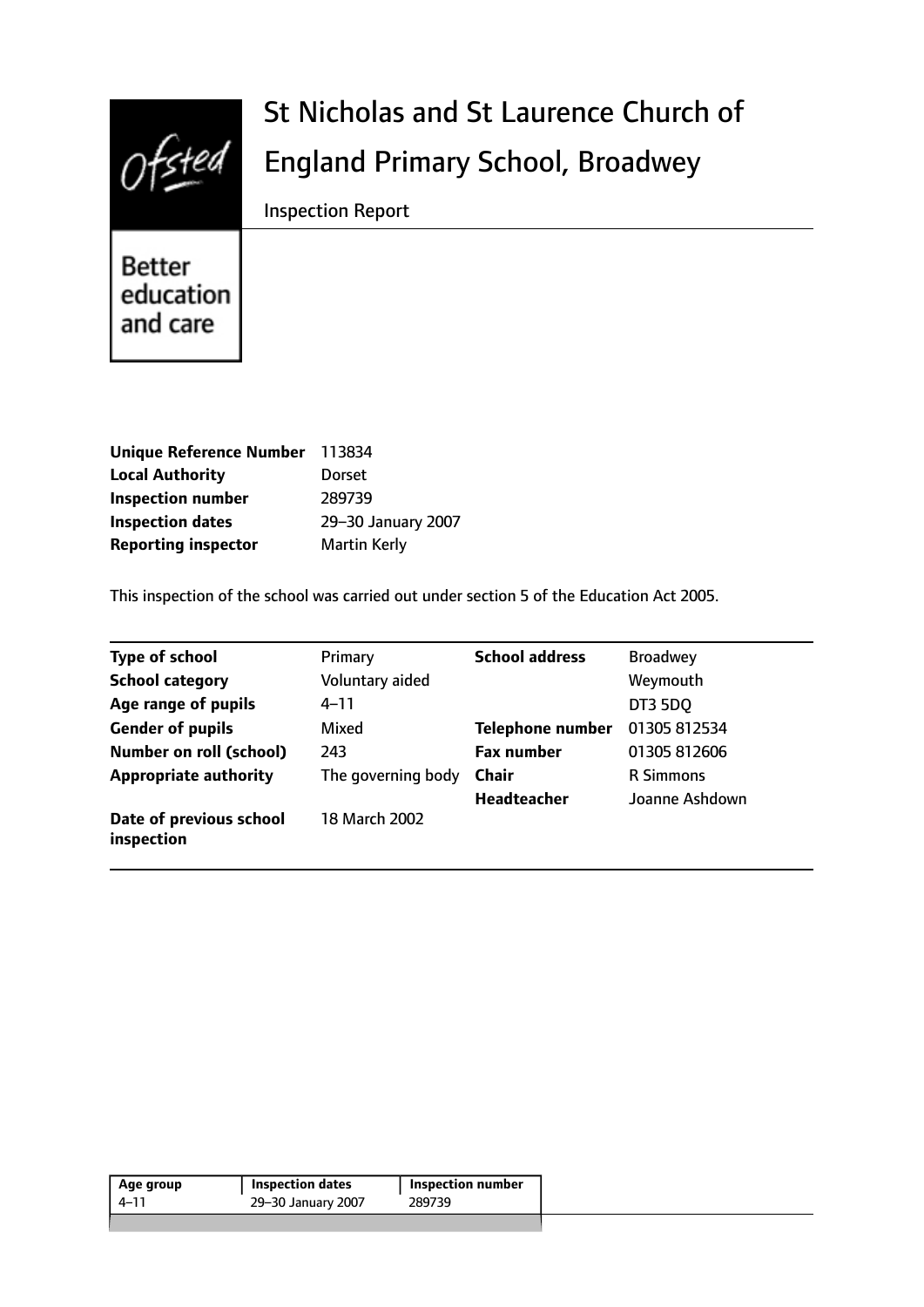

# St Nicholas and St Laurence Church of England Primary School, Broadwey

Inspection Report

Better education and care

| <b>Unique Reference Number</b> | 113834              |
|--------------------------------|---------------------|
| <b>Local Authority</b>         | <b>Dorset</b>       |
| <b>Inspection number</b>       | 289739              |
| <b>Inspection dates</b>        | 29-30 January 2007  |
| <b>Reporting inspector</b>     | <b>Martin Kerly</b> |

This inspection of the school was carried out under section 5 of the Education Act 2005.

| <b>Type of school</b>                 | Primary            | <b>School address</b>   | <b>Broadwey</b>  |
|---------------------------------------|--------------------|-------------------------|------------------|
| <b>School category</b>                | Voluntary aided    |                         | Weymouth         |
| Age range of pupils                   | 4–11               |                         | <b>DT3 5DQ</b>   |
| <b>Gender of pupils</b>               | Mixed              | <b>Telephone number</b> | 01305 812534     |
| <b>Number on roll (school)</b>        | 243                | <b>Fax number</b>       | 01305 812606     |
| <b>Appropriate authority</b>          | The governing body | <b>Chair</b>            | <b>R</b> Simmons |
|                                       |                    | <b>Headteacher</b>      | Joanne Ashdown   |
| Date of previous school<br>inspection | 18 March 2002      |                         |                  |

| Age group | Inspection dates   | <b>Inspection number</b> |
|-----------|--------------------|--------------------------|
| 4–11      | 29-30 January 2007 | 289739                   |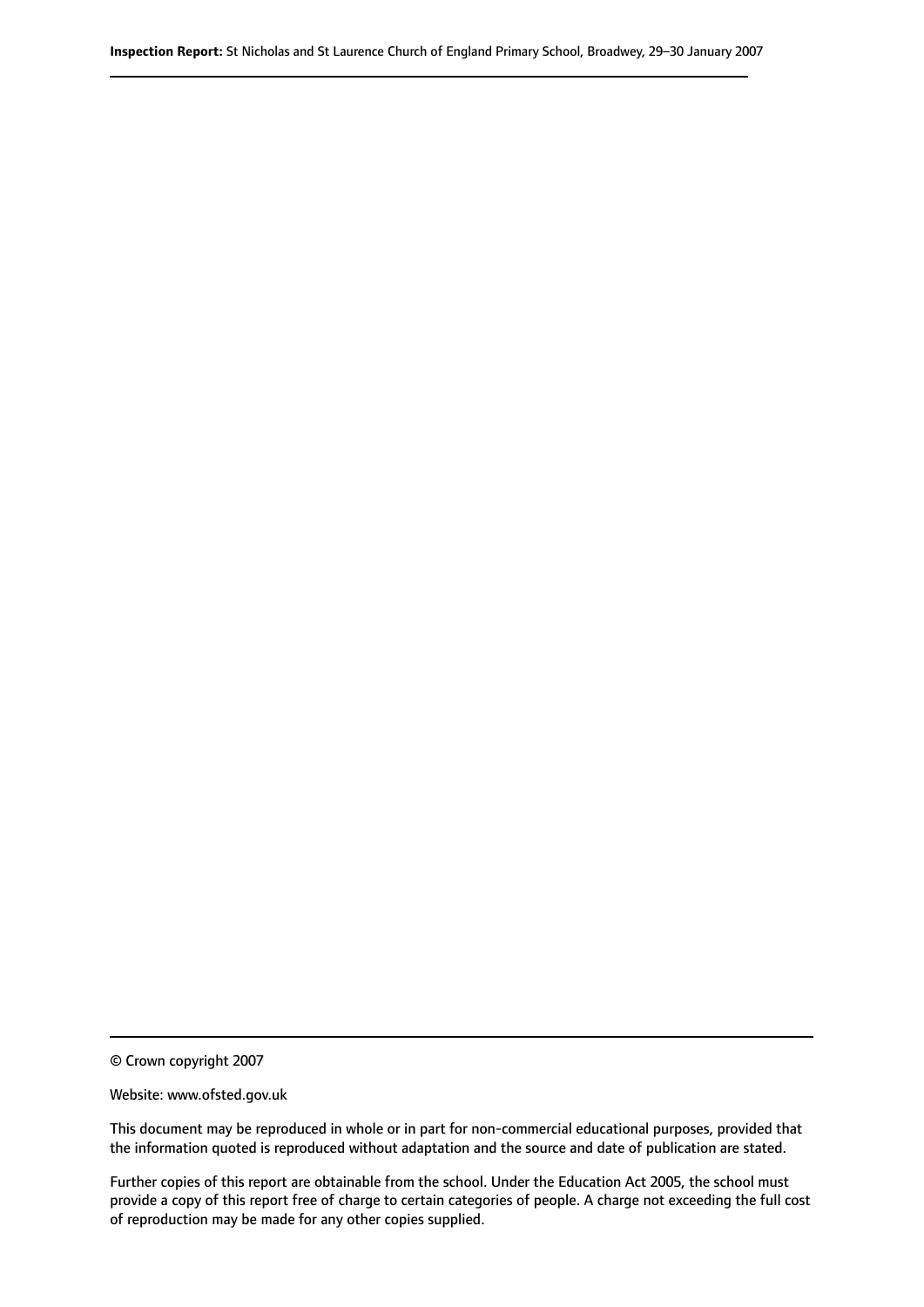© Crown copyright 2007

Website: www.ofsted.gov.uk

This document may be reproduced in whole or in part for non-commercial educational purposes, provided that the information quoted is reproduced without adaptation and the source and date of publication are stated.

Further copies of this report are obtainable from the school. Under the Education Act 2005, the school must provide a copy of this report free of charge to certain categories of people. A charge not exceeding the full cost of reproduction may be made for any other copies supplied.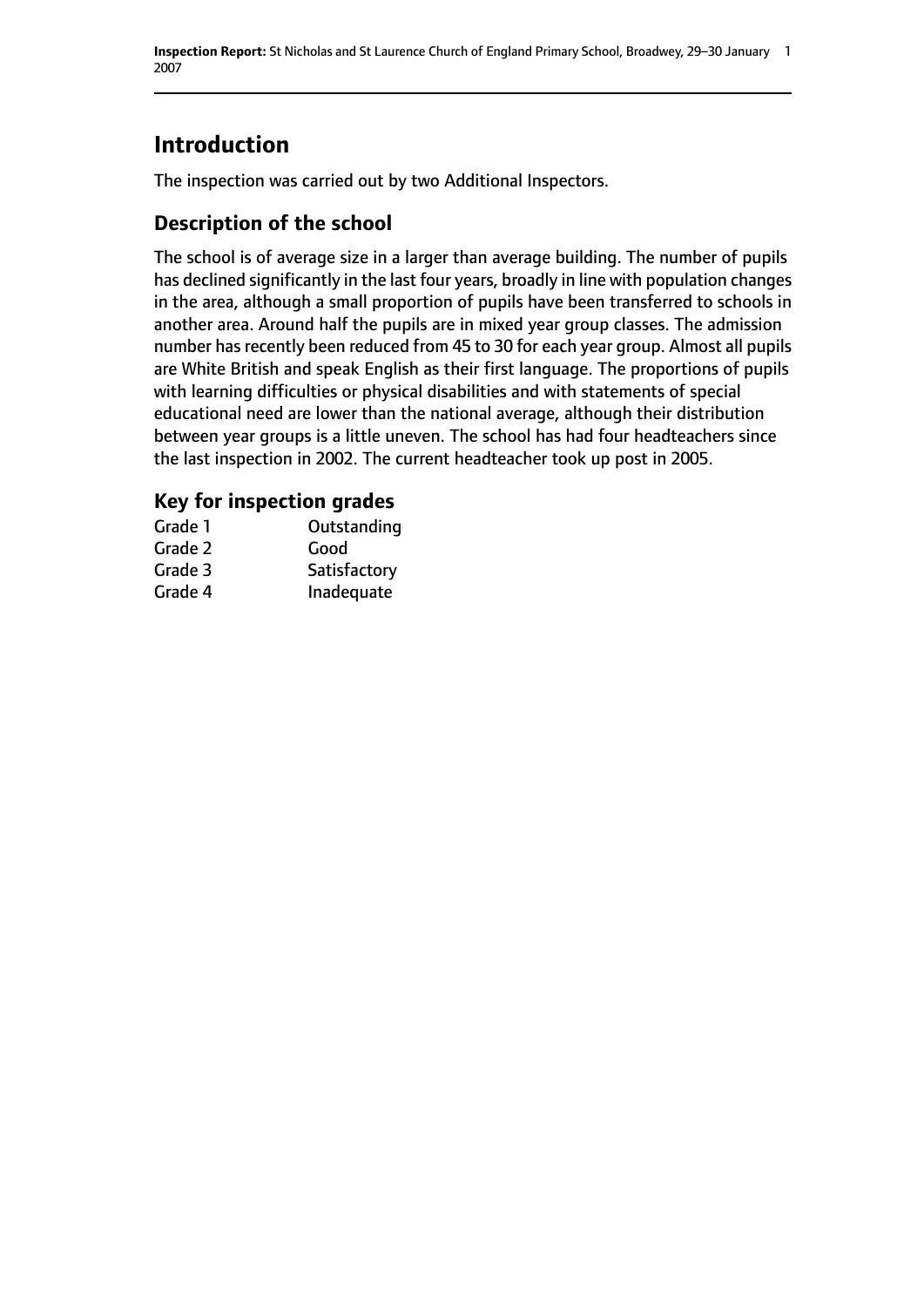# **Introduction**

The inspection was carried out by two Additional Inspectors.

## **Description of the school**

The school is of average size in a larger than average building. The number of pupils has declined significantly in the last four years, broadly in line with population changes in the area, although a small proportion of pupils have been transferred to schools in another area. Around half the pupils are in mixed year group classes. The admission number has recently been reduced from 45 to 30 for each year group. Almost all pupils are White British and speak English as their first language. The proportions of pupils with learning difficulties or physical disabilities and with statements of special educational need are lower than the national average, although their distribution between year groups is a little uneven. The school has had four headteachers since the last inspection in 2002. The current headteacher took up post in 2005.

### **Key for inspection grades**

| Grade 1 | Outstanding  |
|---------|--------------|
| Grade 2 | Good         |
| Grade 3 | Satisfactory |
| Grade 4 | Inadequate   |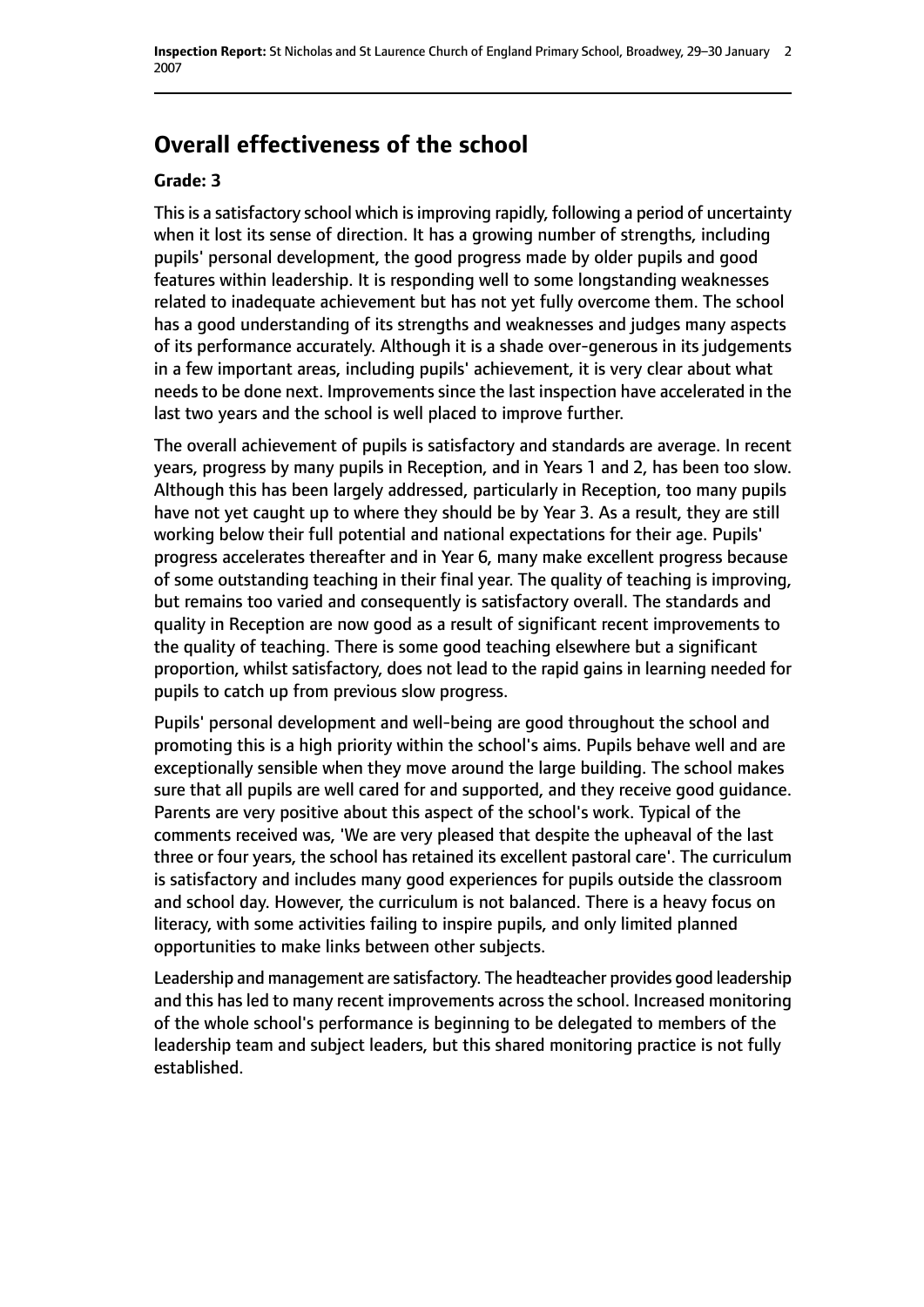# **Overall effectiveness of the school**

#### **Grade: 3**

This is a satisfactory school which is improving rapidly, following a period of uncertainty when it lost its sense of direction. It has a growing number of strengths, including pupils' personal development, the good progress made by older pupils and good features within leadership. It is responding well to some longstanding weaknesses related to inadequate achievement but has not yet fully overcome them. The school has a good understanding of its strengths and weaknesses and judges many aspects of its performance accurately. Although it is a shade over-generous in its judgements in a few important areas, including pupils' achievement, it is very clear about what needs to be done next. Improvements since the last inspection have accelerated in the last two years and the school is well placed to improve further.

The overall achievement of pupils is satisfactory and standards are average. In recent years, progress by many pupils in Reception, and in Years 1 and 2, has been too slow. Although this has been largely addressed, particularly in Reception, too many pupils have not yet caught up to where they should be by Year 3. As a result, they are still working below their full potential and national expectations for their age. Pupils' progress accelerates thereafter and in Year 6, many make excellent progress because of some outstanding teaching in their final year. The quality of teaching is improving, but remains too varied and consequently is satisfactory overall. The standards and quality in Reception are now good as a result of significant recent improvements to the quality of teaching. There is some good teaching elsewhere but a significant proportion, whilst satisfactory, does not lead to the rapid gains in learning needed for pupils to catch up from previous slow progress.

Pupils' personal development and well-being are good throughout the school and promoting this is a high priority within the school's aims. Pupils behave well and are exceptionally sensible when they move around the large building. The school makes sure that all pupils are well cared for and supported, and they receive good guidance. Parents are very positive about this aspect of the school's work. Typical of the comments received was, 'We are very pleased that despite the upheaval of the last three or four years, the school has retained its excellent pastoral care'. The curriculum is satisfactory and includes many good experiences for pupils outside the classroom and school day. However, the curriculum is not balanced. There is a heavy focus on literacy, with some activities failing to inspire pupils, and only limited planned opportunities to make links between other subjects.

Leadership and management are satisfactory. The headteacher provides good leadership and this has led to many recent improvements across the school. Increased monitoring of the whole school's performance is beginning to be delegated to members of the leadership team and subject leaders, but this shared monitoring practice is not fully established.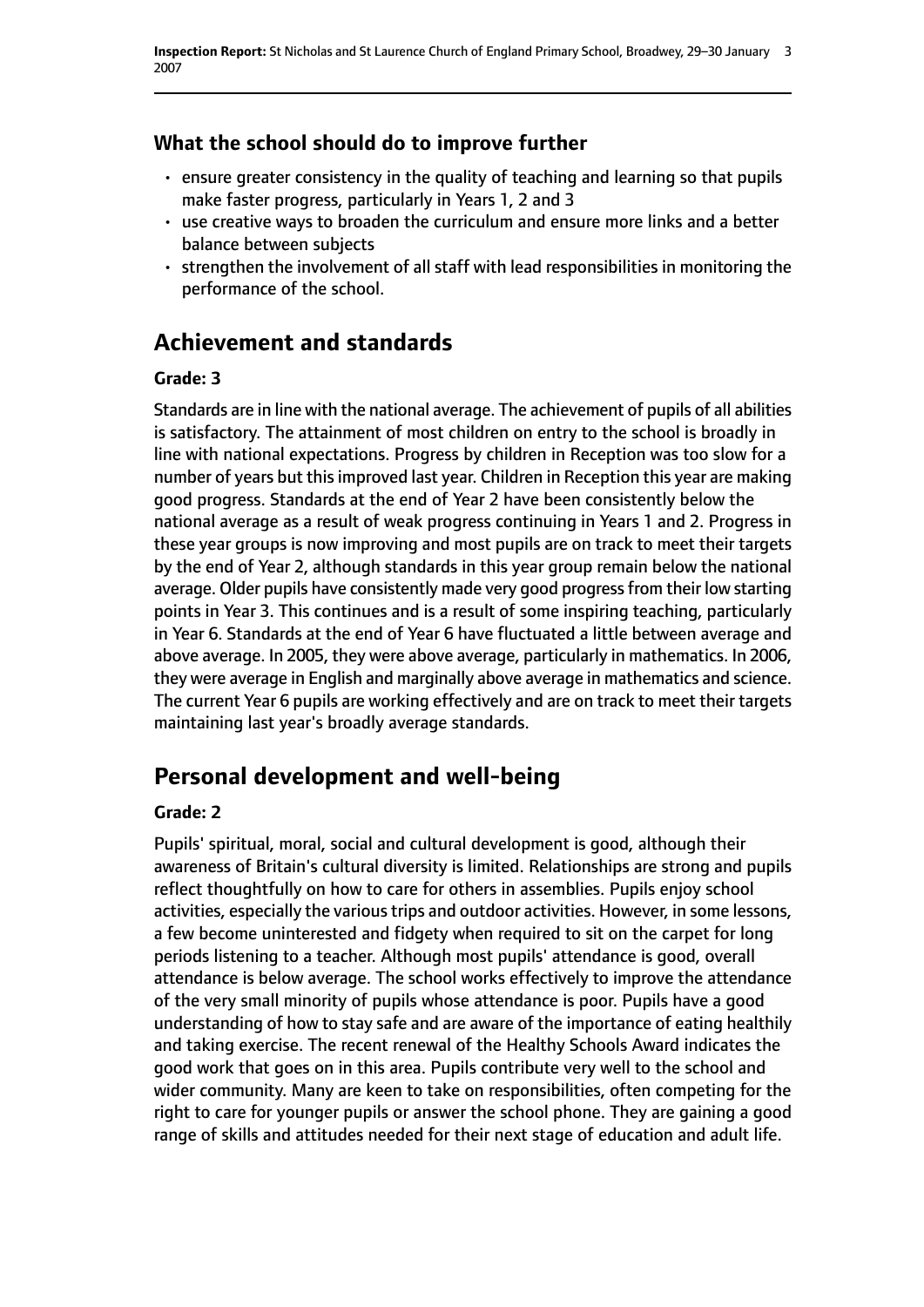### **What the school should do to improve further**

- ensure greater consistency in the quality of teaching and learning so that pupils make faster progress, particularly in Years 1, 2 and 3
- use creative ways to broaden the curriculum and ensure more links and a better balance between subjects
- strengthen the involvement of all staff with lead responsibilities in monitoring the performance of the school.

# **Achievement and standards**

#### **Grade: 3**

Standards are in line with the national average. The achievement of pupils of all abilities is satisfactory. The attainment of most children on entry to the school is broadly in line with national expectations. Progress by children in Reception was too slow for a number of years but this improved last year. Children in Reception this year are making good progress. Standards at the end of Year 2 have been consistently below the national average as a result of weak progress continuing in Years 1 and 2. Progress in these year groups is now improving and most pupils are on track to meet their targets by the end of Year 2, although standards in this year group remain below the national average. Older pupils have consistently made very good progress from their low starting points in Year 3. This continues and is a result of some inspiring teaching, particularly in Year 6. Standards at the end of Year 6 have fluctuated a little between average and above average. In 2005, they were above average, particularly in mathematics. In 2006, they were average in English and marginally above average in mathematics and science. The current Year 6 pupils are working effectively and are on track to meet their targets maintaining last year's broadly average standards.

## **Personal development and well-being**

#### **Grade: 2**

Pupils' spiritual, moral, social and cultural development is good, although their awareness of Britain's cultural diversity is limited. Relationships are strong and pupils reflect thoughtfully on how to care for others in assemblies. Pupils enjoy school activities, especially the various trips and outdoor activities. However, in some lessons, a few become uninterested and fidgety when required to sit on the carpet for long periods listening to a teacher. Although most pupils' attendance is good, overall attendance is below average. The school works effectively to improve the attendance of the very small minority of pupils whose attendance is poor. Pupils have a good understanding of how to stay safe and are aware of the importance of eating healthily and taking exercise. The recent renewal of the Healthy Schools Award indicates the good work that goes on in this area. Pupils contribute very well to the school and wider community. Many are keen to take on responsibilities, often competing for the right to care for younger pupils or answer the school phone. They are gaining a good range of skills and attitudes needed for their next stage of education and adult life.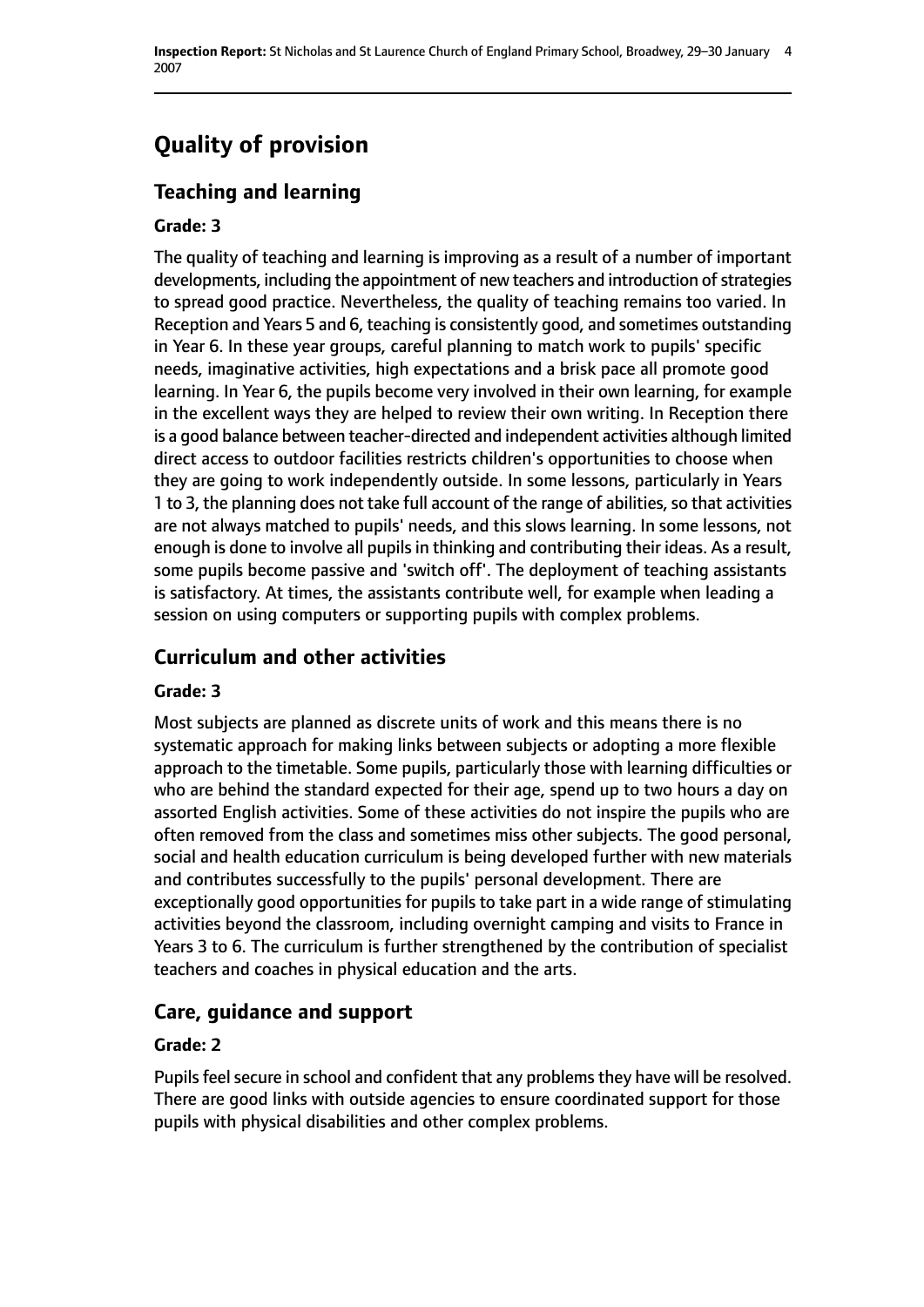# **Quality of provision**

## **Teaching and learning**

#### **Grade: 3**

The quality of teaching and learning is improving as a result of a number of important developments, including the appointment of new teachers and introduction of strategies to spread good practice. Nevertheless, the quality of teaching remains too varied. In Reception and Years 5 and 6, teaching is consistently good, and sometimes outstanding in Year 6. In these year groups, careful planning to match work to pupils' specific needs, imaginative activities, high expectations and a brisk pace all promote good learning. In Year 6, the pupils become very involved in their own learning, for example in the excellent ways they are helped to review their own writing. In Reception there is a good balance between teacher-directed and independent activities although limited direct access to outdoor facilities restricts children's opportunities to choose when they are going to work independently outside. In some lessons, particularly in Years 1 to 3, the planning does not take full account of the range of abilities, so that activities are not always matched to pupils' needs, and this slows learning. In some lessons, not enough is done to involve all pupils in thinking and contributing their ideas. As a result, some pupils become passive and 'switch off'. The deployment of teaching assistants is satisfactory. At times, the assistants contribute well, for example when leading a session on using computers or supporting pupils with complex problems.

#### **Curriculum and other activities**

#### **Grade: 3**

Most subjects are planned as discrete units of work and this means there is no systematic approach for making links between subjects or adopting a more flexible approach to the timetable. Some pupils, particularly those with learning difficulties or who are behind the standard expected for their age, spend up to two hours a day on assorted English activities. Some of these activities do not inspire the pupils who are often removed from the class and sometimes miss other subjects. The good personal, social and health education curriculum is being developed further with new materials and contributes successfully to the pupils' personal development. There are exceptionally good opportunities for pupils to take part in a wide range of stimulating activities beyond the classroom, including overnight camping and visits to France in Years 3 to 6. The curriculum is further strengthened by the contribution of specialist teachers and coaches in physical education and the arts.

## **Care, guidance and support**

#### **Grade: 2**

Pupils feel secure in school and confident that any problems they have will be resolved. There are good links with outside agencies to ensure coordinated support for those pupils with physical disabilities and other complex problems.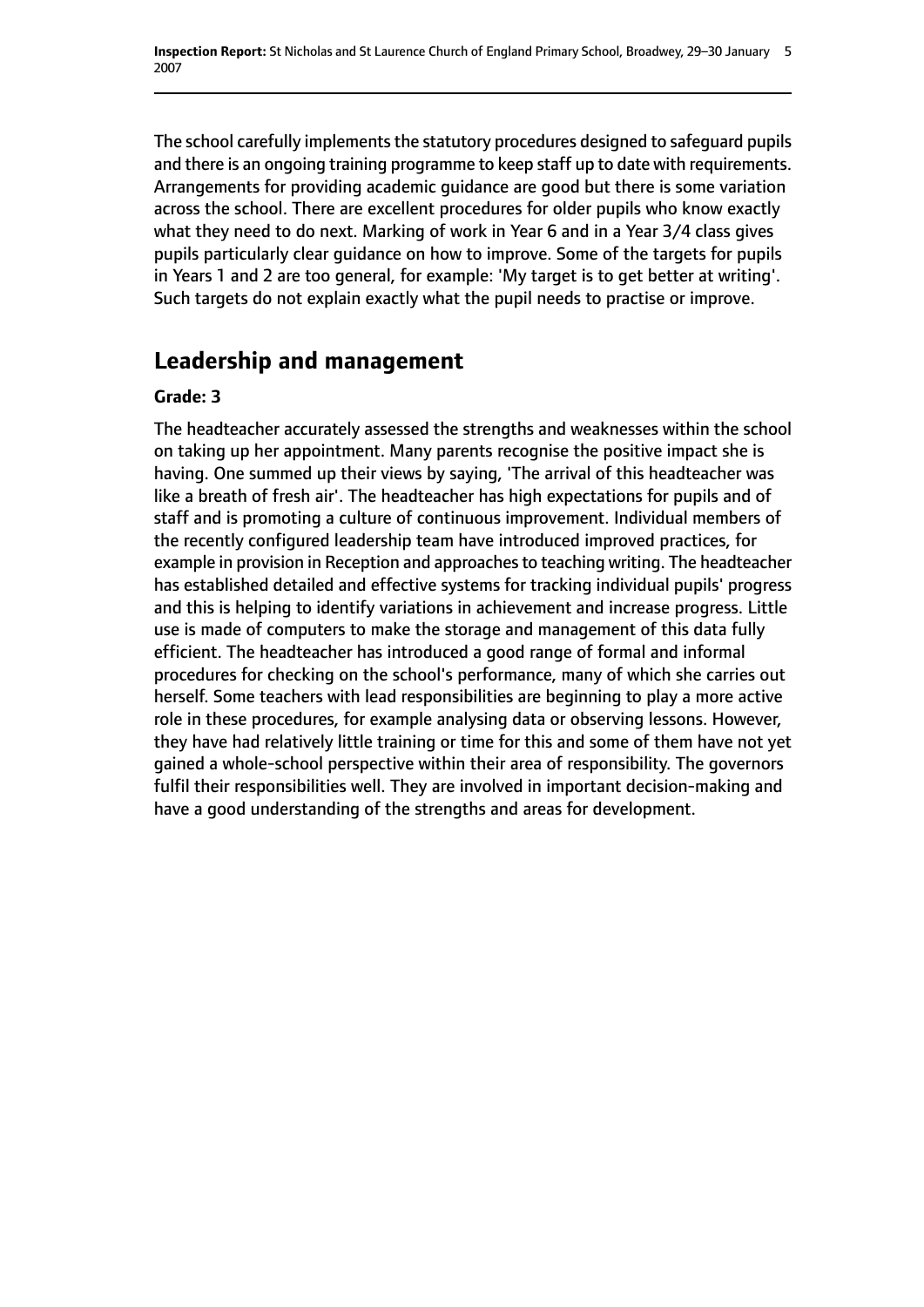The school carefully implements the statutory procedures designed to safeguard pupils and there is an ongoing training programme to keep staff up to date with requirements. Arrangements for providing academic guidance are good but there is some variation across the school. There are excellent procedures for older pupils who know exactly what they need to do next. Marking of work in Year 6 and in a Year 3/4 class gives pupils particularly clear guidance on how to improve. Some of the targets for pupils in Years 1 and 2 are too general, for example: 'My target is to get better at writing'. Such targets do not explain exactly what the pupil needs to practise or improve.

# **Leadership and management**

#### **Grade: 3**

The headteacher accurately assessed the strengths and weaknesses within the school on taking up her appointment. Many parents recognise the positive impact she is having. One summed up their views by saying, 'The arrival of this headteacher was like a breath of fresh air'. The headteacher has high expectations for pupils and of staff and is promoting a culture of continuous improvement. Individual members of the recently configured leadership team have introduced improved practices, for example in provision in Reception and approaches to teaching writing. The headteacher has established detailed and effective systems for tracking individual pupils' progress and this is helping to identify variations in achievement and increase progress. Little use is made of computers to make the storage and management of this data fully efficient. The headteacher has introduced a good range of formal and informal procedures for checking on the school's performance, many of which she carries out herself. Some teachers with lead responsibilities are beginning to play a more active role in these procedures, for example analysing data or observing lessons. However, they have had relatively little training or time for this and some of them have not yet gained a whole-school perspective within their area of responsibility. The governors fulfil their responsibilities well. They are involved in important decision-making and have a good understanding of the strengths and areas for development.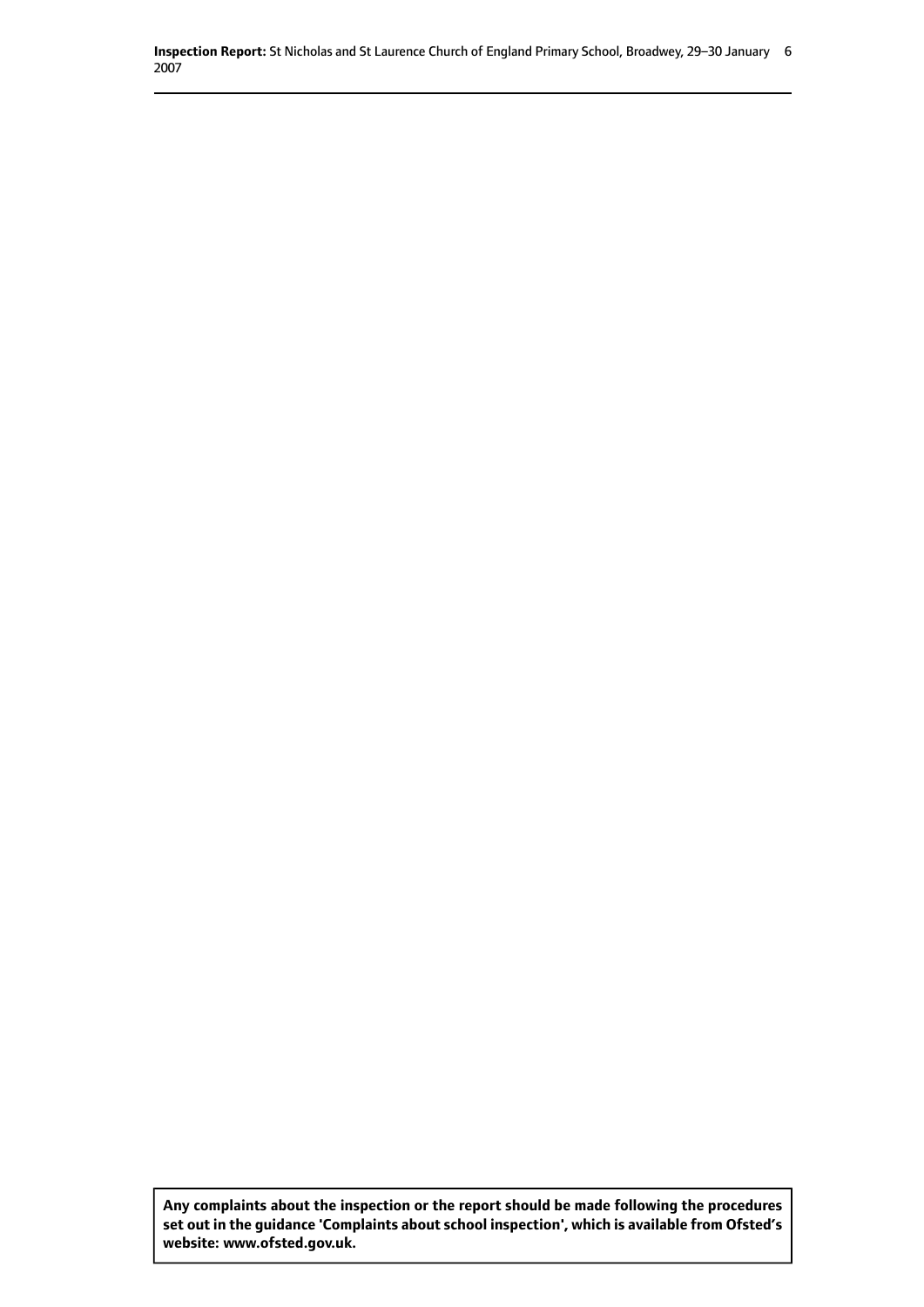**Inspection Report:** St Nicholas and St Laurence Church of England Primary School, Broadwey, 29-30 January 6 2007

**Any complaints about the inspection or the report should be made following the procedures set out inthe guidance 'Complaints about school inspection', whichis available from Ofsted's website: www.ofsted.gov.uk.**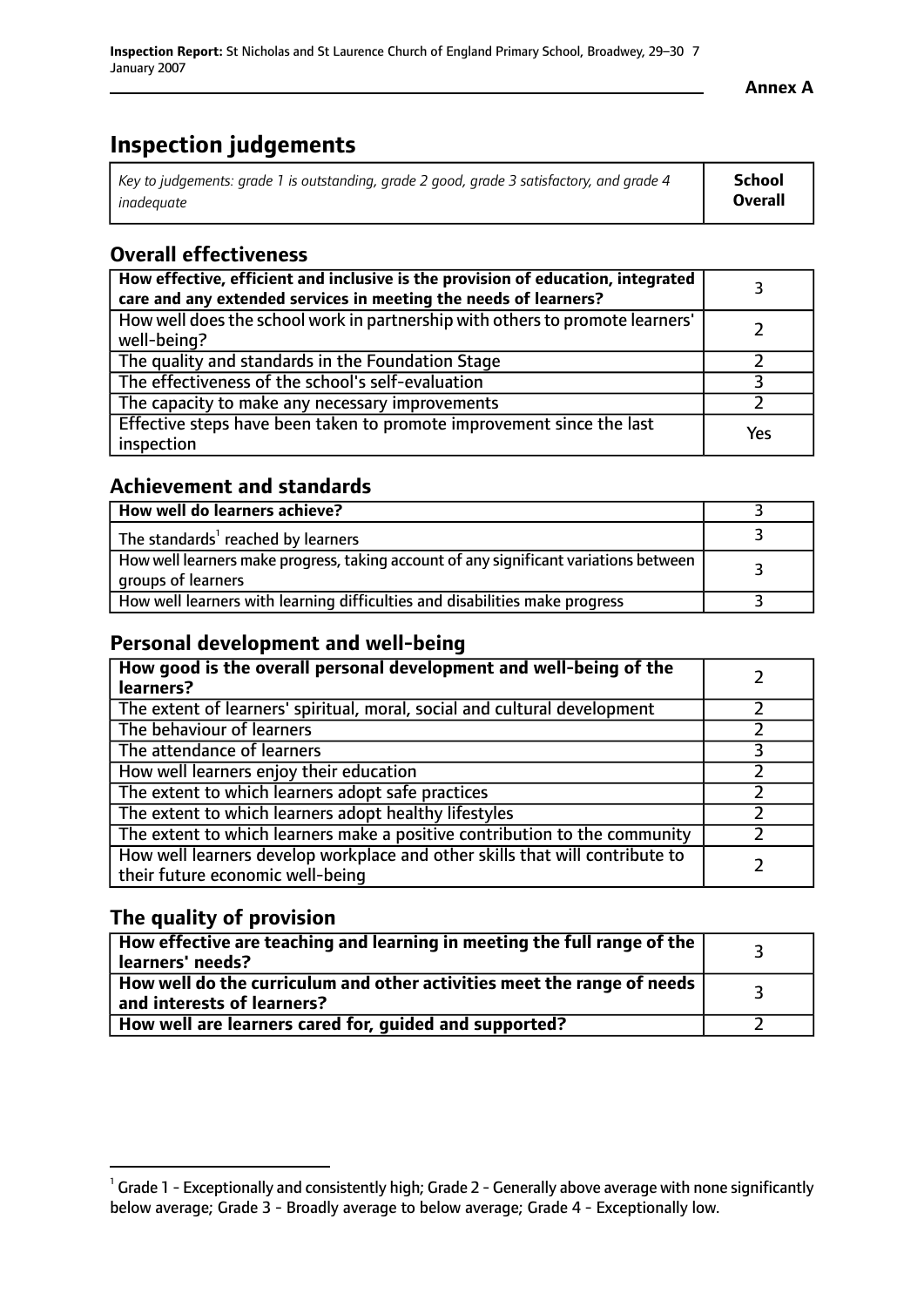**Annex A**

# **Inspection judgements**

| Key to judgements: grade 1 is outstanding, grade 2 good, grade 3 satisfactory, and grade 4 | School         |
|--------------------------------------------------------------------------------------------|----------------|
| inadeauate                                                                                 | <b>Overall</b> |

#### **Overall effectiveness**

| How effective, efficient and inclusive is the provision of education, integrated<br>care and any extended services in meeting the needs of learners? |     |
|------------------------------------------------------------------------------------------------------------------------------------------------------|-----|
| How well does the school work in partnership with others to promote learners'<br>well-being?                                                         |     |
| The quality and standards in the Foundation Stage                                                                                                    |     |
| The effectiveness of the school's self-evaluation                                                                                                    |     |
| The capacity to make any necessary improvements                                                                                                      |     |
| Effective steps have been taken to promote improvement since the last<br>inspection                                                                  | Yes |

#### **Achievement and standards**

| How well do learners achieve?                                                                               |  |
|-------------------------------------------------------------------------------------------------------------|--|
| The standards <sup>1</sup> reached by learners                                                              |  |
| How well learners make progress, taking account of any significant variations between<br>groups of learners |  |
| How well learners with learning difficulties and disabilities make progress                                 |  |

#### **Personal development and well-being**

| How good is the overall personal development and well-being of the<br>learners?                                  |  |
|------------------------------------------------------------------------------------------------------------------|--|
| The extent of learners' spiritual, moral, social and cultural development                                        |  |
| The behaviour of learners                                                                                        |  |
| The attendance of learners                                                                                       |  |
| How well learners enjoy their education                                                                          |  |
| The extent to which learners adopt safe practices                                                                |  |
| The extent to which learners adopt healthy lifestyles                                                            |  |
| The extent to which learners make a positive contribution to the community                                       |  |
| How well learners develop workplace and other skills that will contribute to<br>their future economic well-being |  |

#### **The quality of provision**

| How effective are teaching and learning in meeting the full range of the<br>learners' needs?          |  |
|-------------------------------------------------------------------------------------------------------|--|
| How well do the curriculum and other activities meet the range of needs<br>and interests of learners? |  |
| How well are learners cared for, guided and supported?                                                |  |

 $^1$  Grade 1 - Exceptionally and consistently high; Grade 2 - Generally above average with none significantly below average; Grade 3 - Broadly average to below average; Grade 4 - Exceptionally low.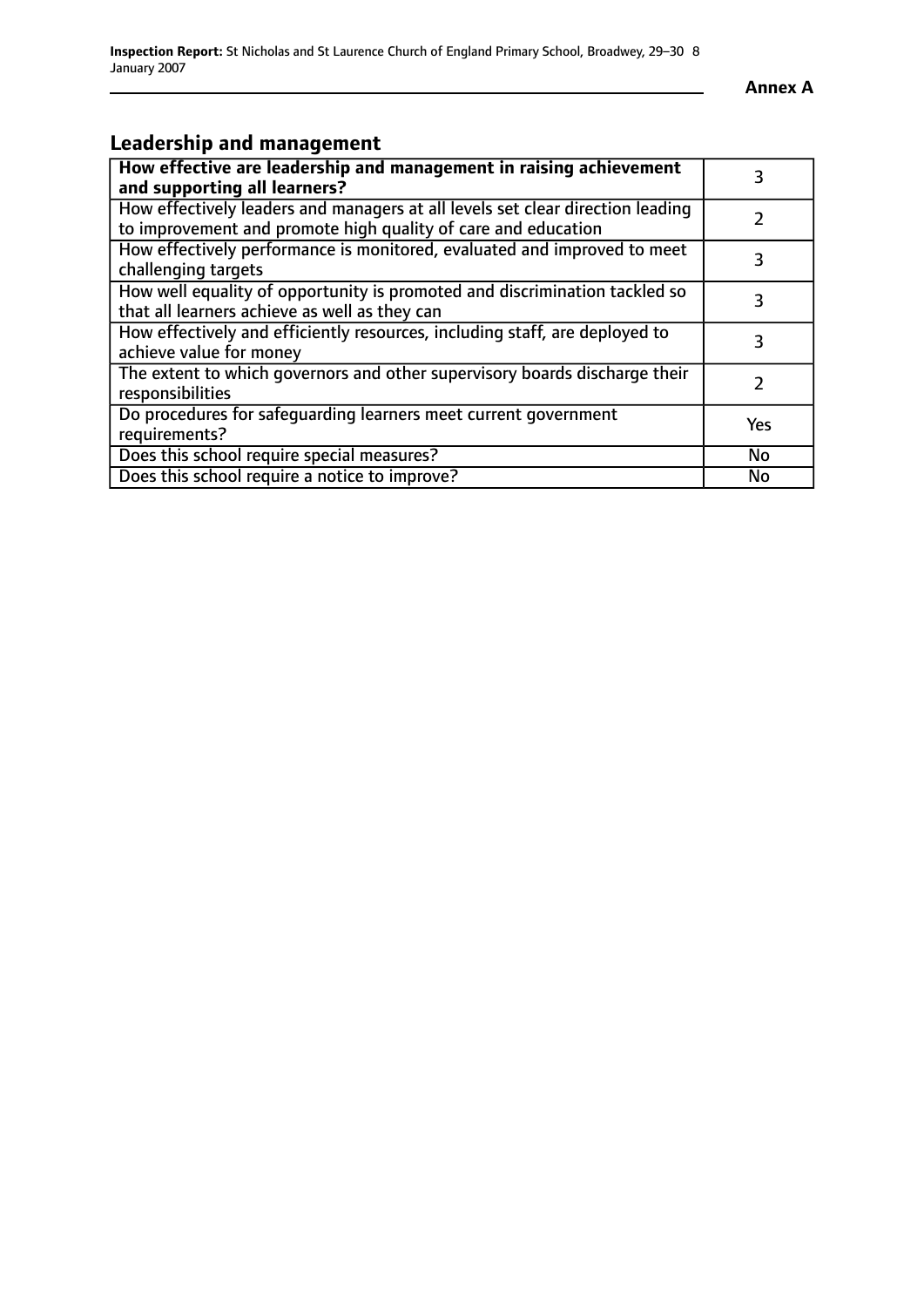$\overline{\phantom{a}}$ 

## **Leadership and management**

| How effective are leadership and management in raising achievement                                                                              | 3         |
|-------------------------------------------------------------------------------------------------------------------------------------------------|-----------|
| and supporting all learners?                                                                                                                    |           |
| How effectively leaders and managers at all levels set clear direction leading<br>to improvement and promote high quality of care and education |           |
|                                                                                                                                                 |           |
| How effectively performance is monitored, evaluated and improved to meet                                                                        | 3         |
| challenging targets                                                                                                                             |           |
| How well equality of opportunity is promoted and discrimination tackled so                                                                      | 3         |
| that all learners achieve as well as they can                                                                                                   |           |
| How effectively and efficiently resources, including staff, are deployed to                                                                     | 3         |
| achieve value for money                                                                                                                         |           |
| The extent to which governors and other supervisory boards discharge their                                                                      |           |
| responsibilities                                                                                                                                |           |
| Do procedures for safequarding learners meet current government                                                                                 | Yes       |
| requirements?                                                                                                                                   |           |
| Does this school require special measures?                                                                                                      | No        |
| Does this school require a notice to improve?                                                                                                   | <b>No</b> |